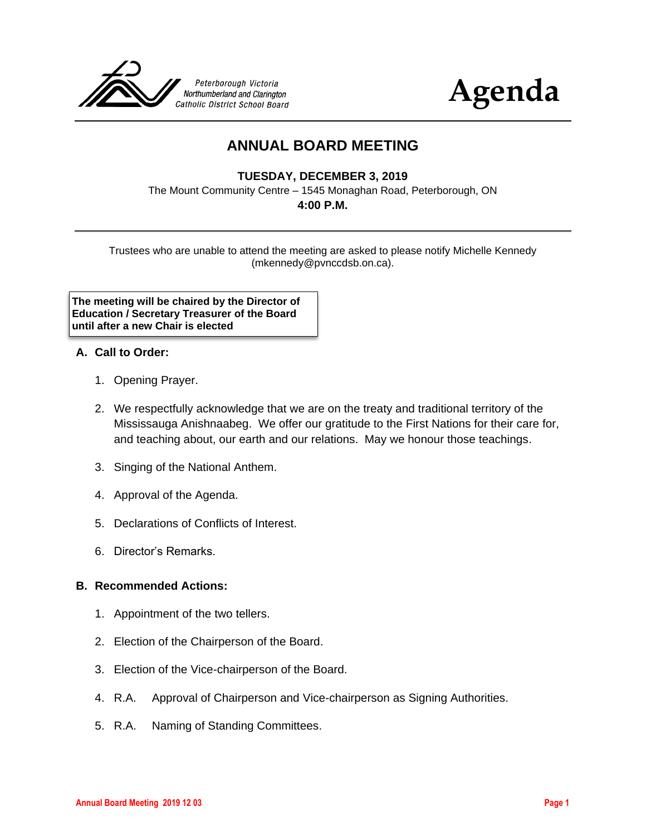



# **ANNUAL BOARD MEETING**

### **TUESDAY, DECEMBER 3, 2019**

The Mount Community Centre – 1545 Monaghan Road, Peterborough, ON

#### **4:00 P.M.**

Trustees who are unable to attend the meeting are asked to please notify Michelle Kennedy (mkennedy@pvnccdsb.on.ca).

**The meeting will be chaired by the Director of Education / Secretary Treasurer of the Board until after a new Chair is elected**

#### **A. Call to Order:**

- 1. Opening Prayer.
- 2. We respectfully acknowledge that we are on the treaty and traditional territory of the Mississauga Anishnaabeg. We offer our gratitude to the First Nations for their care for, and teaching about, our earth and our relations. May we honour those teachings.
- 3. Singing of the National Anthem.
- 4. Approval of the Agenda.
- 5. Declarations of Conflicts of Interest.
- 6. Director's Remarks.

#### **B. Recommended Actions:**

- 1. Appointment of the two tellers.
- 2. Election of the Chairperson of the Board.
- 3. Election of the Vice-chairperson of the Board.
- 4. R.A. Approval of Chairperson and Vice-chairperson as Signing Authorities.
- 5. R.A. Naming of Standing Committees.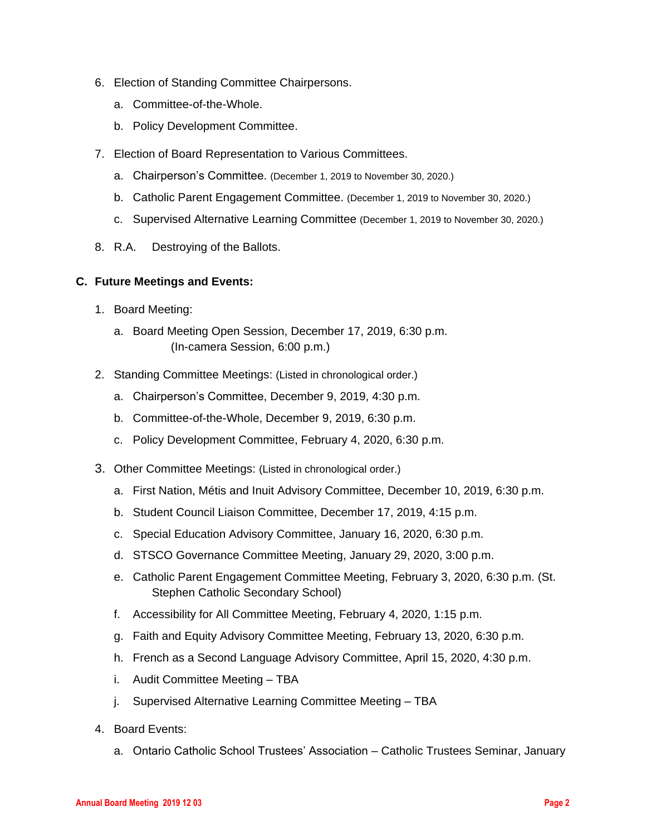- 6. Election of Standing Committee Chairpersons.
	- a. Committee-of-the-Whole.
	- b. Policy Development Committee.
- 7. Election of Board Representation to Various Committees.
	- a. Chairperson's Committee. (December 1, 2019 to November 30, 2020.)
	- b. Catholic Parent Engagement Committee. (December 1, 2019 to November 30, 2020.)
	- c. Supervised Alternative Learning Committee (December 1, 2019 to November 30, 2020.)
- 8. R.A. Destroying of the Ballots.

#### **C. Future Meetings and Events:**

- 1. Board Meeting:
	- a. Board Meeting Open Session, December 17, 2019, 6:30 p.m. (In-camera Session, 6:00 p.m.)
- 2. Standing Committee Meetings: (Listed in chronological order.)
	- a. Chairperson's Committee, December 9, 2019, 4:30 p.m.
	- b. Committee-of-the-Whole, December 9, 2019, 6:30 p.m.
	- c. Policy Development Committee, February 4, 2020, 6:30 p.m.
- 3. Other Committee Meetings: (Listed in chronological order.)
	- a. First Nation, Métis and Inuit Advisory Committee, December 10, 2019, 6:30 p.m.
	- b. Student Council Liaison Committee, December 17, 2019, 4:15 p.m.
	- c. Special Education Advisory Committee, January 16, 2020, 6:30 p.m.
	- d. STSCO Governance Committee Meeting, January 29, 2020, 3:00 p.m.
	- e. Catholic Parent Engagement Committee Meeting, February 3, 2020, 6:30 p.m. (St. Stephen Catholic Secondary School)
	- f. Accessibility for All Committee Meeting, February 4, 2020, 1:15 p.m.
	- g. Faith and Equity Advisory Committee Meeting, February 13, 2020, 6:30 p.m.
	- h. French as a Second Language Advisory Committee, April 15, 2020, 4:30 p.m.
	- i. Audit Committee Meeting TBA
	- j. Supervised Alternative Learning Committee Meeting TBA
- 4. Board Events:
	- a. Ontario Catholic School Trustees' Association Catholic Trustees Seminar, January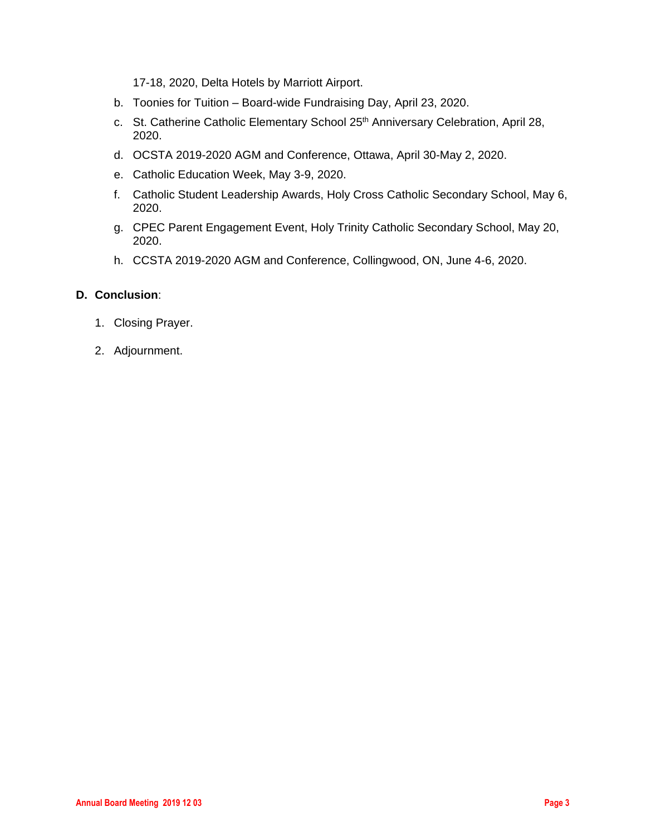17-18, 2020, Delta Hotels by Marriott Airport.

- b. Toonies for Tuition Board-wide Fundraising Day, April 23, 2020.
- c. St. Catherine Catholic Elementary School 25<sup>th</sup> Anniversary Celebration, April 28, 2020.
- d. OCSTA 2019-2020 AGM and Conference, Ottawa, April 30-May 2, 2020.
- e. Catholic Education Week, May 3-9, 2020.
- f. Catholic Student Leadership Awards, Holy Cross Catholic Secondary School, May 6, 2020.
- g. CPEC Parent Engagement Event, Holy Trinity Catholic Secondary School, May 20, 2020.
- h. CCSTA 2019-2020 AGM and Conference, Collingwood, ON, June 4-6, 2020.

#### **D. Conclusion**:

- 1. Closing Prayer.
- 2. Adjournment.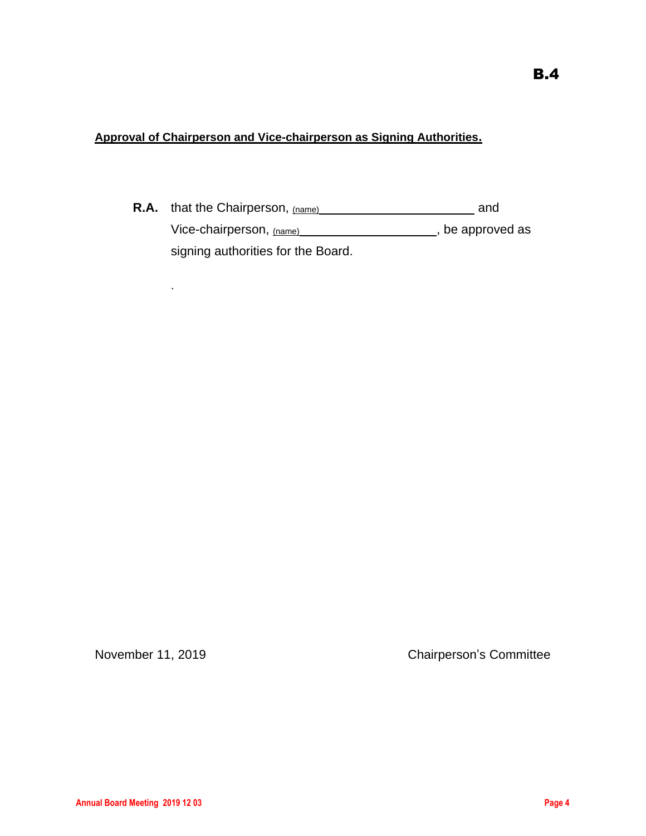### **Approval of Chairperson and Vice-chairperson as Signing Authorities.**

**R.A.** that the Chairperson, (name) **R.A. dividends** and Vice-chairperson, (name) (Vice-chairperson,  $(na)$ ) (Vice-chairperson,  $(na)$ ) (Vice-chairperson,  $(na)$ ) (Vice-chairperson,  $(na)$ ) (Vice-chairperson,  $(na)$ ) (Vice-chairperson,  $(na)$ ) (Vice-chairperson,  $(na)$ ) (Vice-chairpers signing authorities for the Board.

.

November 11, 2019 Chairperson's Committee